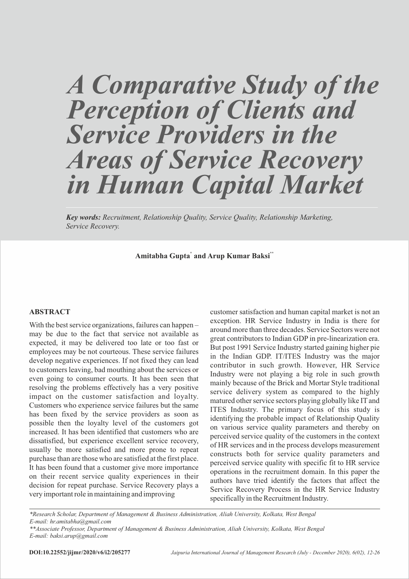# *A Comparative Study of the Perception of Clients and Service Providers in the Areas of Service Recovery in Human Capital Market*

*Key words: Recruitment, Relationship Quality, Service Quality, Relationship Marketing, Service Recovery.*

**\* \*\* Amitabha Gupta and Arup Kumar Baksi**

#### **ABSTRACT**

With the best service organizations, failures can happen – may be due to the fact that service not available as expected, it may be delivered too late or too fast or employees may be not courteous. These service failures develop negative experiences. If not fixed they can lead to customers leaving, bad mouthing about the services or even going to consumer courts. It has been seen that resolving the problems effectively has a very positive impact on the customer satisfaction and loyalty. Customers who experience service failures but the same has been fixed by the service providers as soon as possible then the loyalty level of the customers got increased. It has been identified that customers who are dissatisfied, but experience excellent service recovery, usually be more satisfied and more prone to repeat purchase than are those who are satisfied at the first place. It has been found that a customer give more importance on their recent service quality experiences in their decision for repeat purchase. Service Recovery plays a very important role in maintaining and improving

customer satisfaction and human capital market is not an exception. HR Service Industry in India is there for around more than three decades. Service Sectors were not great contributors to Indian GDP in pre-linearization era. But post 1991 Service Industry started gaining higher pie in the Indian GDP. IT/ITES Industry was the major contributor in such growth. However, HR Service Industry were not playing a big role in such growth mainly because of the Brick and Mortar Style traditional service delivery system as compared to the highly matured other service sectors playing globally like IT and ITES Industry. The primary focus of this study is identifying the probable impact of Relationship Quality on various service quality parameters and thereby on perceived service quality of the customers in the context of HR services and in the process develops measurement constructs both for service quality parameters and perceived service quality with specific fit to HR service operations in the recruitment domain. In this paper the authors have tried identify the factors that affect the Service Recovery Process in the HR Service Industry specifically in the Recruitment Industry.

*\*Research Scholar, Department of Management & Business Administration, Aliah University, Kolkata, West Bengal E-mail: hr.amitabha@gmail.com*

*<sup>\*\*</sup>Associate Professor, Department of Management & Business Administration, Aliah University, Kolkata, West Bengal E-mail: baksi.arup@gmail.com*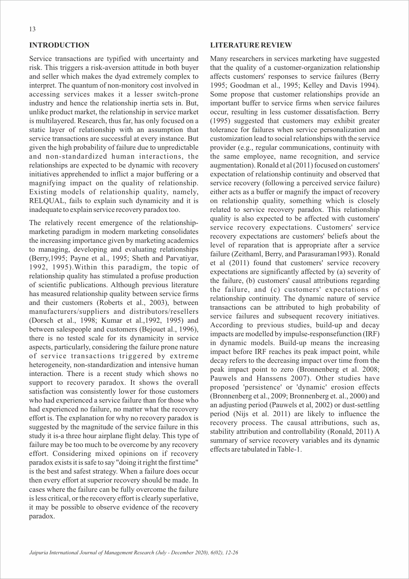## **INTRODUCTION**

Service transactions are typified with uncertainty and risk. This triggers a risk-aversion attitude in both buyer and seller which makes the dyad extremely complex to interpret. The quantum of non-monitory cost involved in accessing services makes it a lesser switch-prone industry and hence the relationship inertia sets in. But, unlike product market, the relationship in service market is multilayered. Research, thus far, has only focused on a static layer of relationship with an assumption that service transactions are successful at every instance. But given the high probability of failure due to unpredictable and non-standardized human interactions, the relationships are expected to be dynamic with recovery initiatives apprehended to inflict a major buffering or a magnifying impact on the quality of relationship. Existing models of relationship quality, namely, RELQUAL, fails to explain such dynamicity and it is inadequate to explain service recovery paradox too.

The relatively recent emergence of the relationshipmarketing paradigm in modern marketing consolidates the increasing importance given by marketing academics to managing, developing and evaluating relationships (Berry,1995; Payne et al., 1995; Sheth and Parvatiyar, 1992, 1995).Within this paradigm, the topic of relationship quality has stimulated a profuse production of scientific publications. Although previous literature has measured relationship quality between service firms and their customers (Roberts et al., 2003), between manufacturers/suppliers and distributors/resellers (Dorsch et al., 1998; Kumar et al.,1992, 1995) and between salespeople and customers (Bejouet al., 1996), there is no tested scale for its dynamicity in service aspects, particularly, considering the failure prone nature of service transactions triggered by extreme heterogeneity, non-standardization and intensive human interaction. There is a recent study which shows no support to recovery paradox. It shows the overall satisfaction was consistently lower for those customers who had experienced a service failure than for those who had experienced no failure, no matter what the recovery effort is. The explanation for why no recovery paradox is suggested by the magnitude of the service failure in this study it is-a three hour airplane flight delay. This type of failure may be too much to be overcome by any recovery effort. Considering mixed opinions on if recovery paradox exists it is safe to say "doing it right the first time" is the best and safest strategy. When a failure does occur then every effort at superior recovery should be made. In cases where the failure can be fully overcome the failure is less critical, or the recovery effort is clearly superlative, it may be possible to observe evidence of the recovery paradox.

#### **LITERATURE REVIEW**

Many researchers in services marketing have suggested that the quality of a customer-organization relationship affects customers' responses to service failures (Berry 1995; Goodman et al., 1995; Kelley and Davis 1994). Some propose that customer relationships provide an important buffer to service firms when service failures occur, resulting in less customer dissatisfaction. Berry (1995) suggested that customers may exhibit greater tolerance for failures when service personalization and customization lead to social relationships with the service provider (e.g., regular communications, continuity with the same employee, name recognition, and service augmentation). Ronald et al (2011) focused on customers' expectation of relationship continuity and observed that service recovery (following a perceived service failure) either acts as a buffer or magnify the impact of recovery on relationship quality, something which is closely related to service recovery paradox. This relationship quality is also expected to be affected with customers' service recovery expectations. Customers' service recovery expectations are customers' beliefs about the level of reparation that is appropriate after a service failure (Zeithaml, Berry, and Parasuraman1993). Ronald et al (2011) found that customers' service recovery expectations are significantly affected by (a) severity of the failure, (b) customers' causal attributions regarding the failure, and (c) customers' expectations of relationship continuity. The dynamic nature of service transactions can be attributed to high probability of service failures and subsequent recovery initiatives. According to previous studies, build-up and decay impacts are modelled by impulse-responsefunction (IRF) in dynamic models. Build-up means the increasing impact before IRF reaches its peak impact point, while decay refers to the decreasing impact over time from the peak impact point to zero (Bronnenberg et al. 2008; Pauwels and Hanssens 2007). Other studies have proposed 'persistence' or 'dynamic' erosion effects (Bronnenberg et al., 2009; Bronnenberg et. al., 2000) and an adjusting period (Pauwels et al, 2002) or dust-settling period (Nijs et al. 2011) are likely to influence the recovery process. The causal attributions, such as, stability attribution and controllability (Ronald, 2011) A summary of service recovery variables and its dynamic effects are tabulated in Table-1.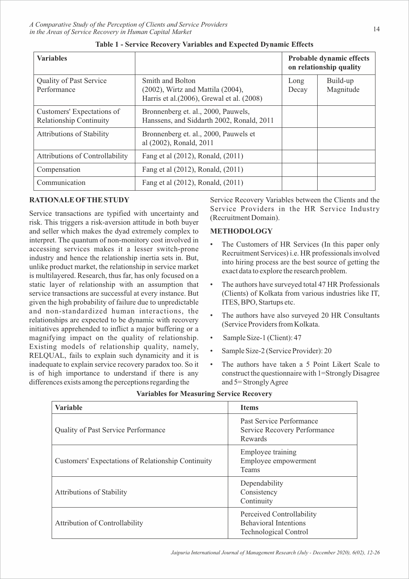| <b>Variables</b>                                             |                                                                                                           | Probable dynamic effects<br>on relationship quality |                       |
|--------------------------------------------------------------|-----------------------------------------------------------------------------------------------------------|-----------------------------------------------------|-----------------------|
| Quality of Past Service<br>Performance                       | Smith and Bolton<br>$(2002)$ , Wirtz and Mattila $(2004)$ ,<br>Harris et al. (2006), Grewal et al. (2008) | Long<br>Decay                                       | Build-up<br>Magnitude |
| Customers' Expectations of<br><b>Relationship Continuity</b> | Bronnenberg et. al., 2000, Pauwels,<br>Hanssens, and Siddarth 2002, Ronald, 2011                          |                                                     |                       |
| <b>Attributions of Stability</b>                             | Bronnenberg et. al., 2000, Pauwels et<br>al (2002), Ronald, 2011                                          |                                                     |                       |
| <b>Attributions of Controllability</b>                       | Fang et al (2012), Ronald, (2011)                                                                         |                                                     |                       |
| Compensation                                                 | Fang et al (2012), Ronald, (2011)                                                                         |                                                     |                       |
| Communication                                                | Fang et al (2012), Ronald, (2011)                                                                         |                                                     |                       |

|  | Table 1 - Service Recovery Variables and Expected Dynamic Effects |  |  |  |
|--|-------------------------------------------------------------------|--|--|--|
|  |                                                                   |  |  |  |

# **RATIONALE OFTHE STUDY**

Service transactions are typified with uncertainty and risk. This triggers a risk-aversion attitude in both buyer and seller which makes the dyad extremely complex to interpret. The quantum of non-monitory cost involved in accessing services makes it a lesser switch-prone industry and hence the relationship inertia sets in. But, unlike product market, the relationship in service market is multilayered. Research, thus far, has only focused on a static layer of relationship with an assumption that service transactions are successful at every instance. But given the high probability of failure due to unpredictable and non-standardized human interactions, the relationships are expected to be dynamic with recovery initiatives apprehended to inflict a major buffering or a magnifying impact on the quality of relationship. Existing models of relationship quality, namely, RELQUAL, fails to explain such dynamicity and it is inadequate to explain service recovery paradox too. So it is of high importance to understand if there is any differences exists among the perceptions regarding the

Service Recovery Variables between the Clients and the Service Providers in the HR Service Industry (Recruitment Domain).

## **METHODOLOGY**

- The Customers of HR Services (In this paper only Recruitment Services) i.e. HR professionals involved into hiring process are the best source of getting the exact data to explore the research problem.
- The authors have surveyed total 47 HR Professionals (Clients) of Kolkata from various industries like IT, ITES, BPO, Startups etc.
- The authors have also surveyed 20 HR Consultants (Service Providers from Kolkata.
- Sample Size-1 (Client): 47
- Sample Size-2 (Service Provider): 20
- The authors have taken a 5 Point Likert Scale to construct the questionnaire with 1=Strongly Disagree and 5= Strongly Agree

| <b>Variable</b>                                    | <b>Items</b>                                                                              |
|----------------------------------------------------|-------------------------------------------------------------------------------------------|
| <b>Quality of Past Service Performance</b>         | Past Service Performance<br>Service Recovery Performance<br>Rewards                       |
| Customers' Expectations of Relationship Continuity | Employee training<br>Employee empowerment<br><b>Teams</b>                                 |
| <b>Attributions of Stability</b>                   | Dependability<br>Consistency<br>Continuity                                                |
| <b>Attribution of Controllability</b>              | Perceived Controllability<br><b>Behavioral Intentions</b><br><b>Technological Control</b> |

| <b>Variables for Measuring Service Recovery</b> |  |  |  |  |  |  |
|-------------------------------------------------|--|--|--|--|--|--|
|-------------------------------------------------|--|--|--|--|--|--|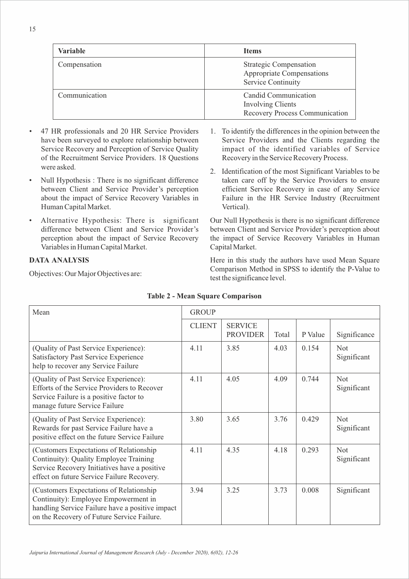| <b>Variable</b> | <b>Items</b>                                                                            |
|-----------------|-----------------------------------------------------------------------------------------|
| Compensation    | <b>Strategic Compensation</b><br>Appropriate Compensations<br><b>Service Continuity</b> |
| Communication   | Candid Communication<br><b>Involving Clients</b><br>Recovery Process Communication      |

- 47 HR professionals and 20 HR Service Providers have been surveyed to explore relationship between Service Recovery and Perception of Service Quality of the Recruitment Service Providers. 18 Questions were asked.
- Null Hypothesis : There is no significant difference between Client and Service Provider's perception about the impact of Service Recovery Variables in Human Capital Market.
- Alternative Hypothesis: There is significant difference between Client and Service Provider's perception about the impact of Service Recovery Variables in Human Capital Market.

# **DATA ANALYSIS**

Objectives: Our Major Objectives are:

- 1. To identify the differences in the opinion between the Service Providers and the Clients regarding the impact of the identified variables of Service Recovery in the Service Recovery Process.
- 2. Identification of the most Significant Variables to be taken care off by the Service Providers to ensure efficient Service Recovery in case of any Service Failure in the HR Service Industry (Recruitment Vertical).

Our Null Hypothesis is there is no significant difference between Client and Service Provider's perception about the impact of Service Recovery Variables in Human Capital Market.

Here in this study the authors have used Mean Square Comparison Method in SPSS to identify the P-Value to test the significance level.

| Mean                                                                                                                                                                              | <b>GROUP</b>  |                                   |       |         |                           |  |
|-----------------------------------------------------------------------------------------------------------------------------------------------------------------------------------|---------------|-----------------------------------|-------|---------|---------------------------|--|
|                                                                                                                                                                                   | <b>CLIENT</b> | <b>SERVICE</b><br><b>PROVIDER</b> | Total | P Value | Significance              |  |
| (Quality of Past Service Experience):<br>Satisfactory Past Service Experience<br>help to recover any Service Failure                                                              | 4.11          | 3.85                              | 4.03  | 0.154   | <b>Not</b><br>Significant |  |
| (Quality of Past Service Experience):<br>Efforts of the Service Providers to Recover<br>Service Failure is a positive factor to<br>manage future Service Failure                  | 4.11          | 4.05                              | 4.09  | 0.744   | <b>Not</b><br>Significant |  |
| (Quality of Past Service Experience):<br>Rewards for past Service Failure have a<br>positive effect on the future Service Failure                                                 | 3.80          | 3.65                              | 3.76  | 0.429   | <b>Not</b><br>Significant |  |
| (Customers Expectations of Relationship)<br>Continuity): Quality Employee Training<br>Service Recovery Initiatives have a positive<br>effect on future Service Failure Recovery.  | 4.11          | 4.35                              | 4.18  | 0.293   | <b>Not</b><br>Significant |  |
| (Customers Expectations of Relationship)<br>Continuity): Employee Empowerment in<br>handling Service Failure have a positive impact<br>on the Recovery of Future Service Failure. | 3.94          | 3.25                              | 3.73  | 0.008   | Significant               |  |

**Table 2 - Mean Square Comparison**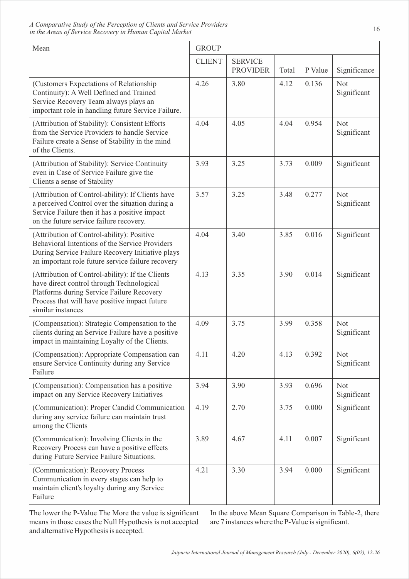| Mean                                                                                                                                                                                                             | <b>GROUP</b>  |                                   |       |         |                           |
|------------------------------------------------------------------------------------------------------------------------------------------------------------------------------------------------------------------|---------------|-----------------------------------|-------|---------|---------------------------|
|                                                                                                                                                                                                                  | <b>CLIENT</b> | <b>SERVICE</b><br><b>PROVIDER</b> | Total | P Value | Significance              |
| (Customers Expectations of Relationship)<br>Continuity): A Well Defined and Trained<br>Service Recovery Team always plays an<br>important role in handling future Service Failure.                               | 4.26          | 3.80                              | 4.12  | 0.136   | <b>Not</b><br>Significant |
| (Attribution of Stability): Consistent Efforts<br>from the Service Providers to handle Service<br>Failure create a Sense of Stability in the mind<br>of the Clients.                                             | 4.04          | 4.05                              | 4.04  | 0.954   | <b>Not</b><br>Significant |
| (Attribution of Stability): Service Continuity<br>even in Case of Service Failure give the<br>Clients a sense of Stability                                                                                       | 3.93          | 3.25                              | 3.73  | 0.009   | Significant               |
| (Attribution of Control-ability): If Clients have<br>a perceived Control over the situation during a<br>Service Failure then it has a positive impact<br>on the future service failure recovery.                 | 3.57          | 3.25                              | 3.48  | 0.277   | <b>Not</b><br>Significant |
| (Attribution of Control-ability): Positive<br>Behavioral Intentions of the Service Providers<br>During Service Failure Recovery Initiative plays<br>an important role future service failure recovery            | 4.04          | 3.40                              | 3.85  | 0.016   | Significant               |
| (Attribution of Control-ability): If the Clients<br>have direct control through Technological<br>Platforms during Service Failure Recovery<br>Process that will have positive impact future<br>similar instances | 4.13          | 3.35                              | 3.90  | 0.014   | Significant               |
| (Compensation): Strategic Compensation to the<br>clients during an Service Failure have a positive<br>impact in maintaining Loyalty of the Clients.                                                              | 4.09          | 3.75                              | 3.99  | 0.358   | <b>Not</b><br>Significant |
| (Compensation): Appropriate Compensation can<br>ensure Service Continuity during any Service<br>Failure                                                                                                          | 4.11          | 4.20                              | 4.13  | 0.392   | <b>Not</b><br>Significant |
| (Compensation): Compensation has a positive<br>impact on any Service Recovery Initiatives                                                                                                                        | 3.94          | 3.90                              | 3.93  | 0.696   | Not<br>Significant        |
| (Communication): Proper Candid Communication<br>during any service failure can maintain trust<br>among the Clients                                                                                               | 4.19          | 2.70                              | 3.75  | 0.000   | Significant               |
| (Communication): Involving Clients in the<br>Recovery Process can have a positive effects<br>during Future Service Failure Situations.                                                                           | 3.89          | 4.67                              | 4.11  | 0.007   | Significant               |
| (Communication): Recovery Process<br>Communication in every stages can help to<br>maintain client's loyalty during any Service<br>Failure                                                                        | 4.21          | 3.30                              | 3.94  | 0.000   | Significant               |

The lower the P-Value The More the value is significant means in those cases the Null Hypothesis is not accepted and alternative Hypothesis is accepted.

In the above Mean Square Comparison in Table-2, there are 7 instances where the P-Value is significant.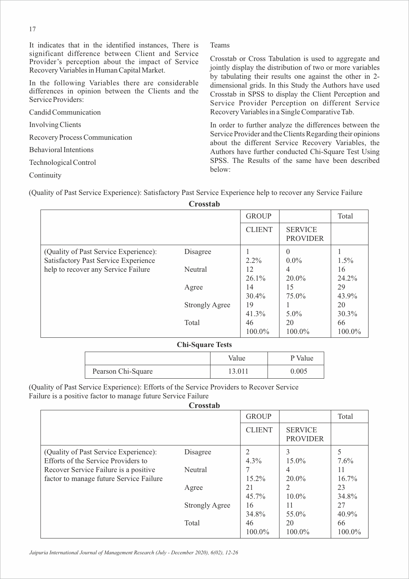It indicates that in the identified instances, There is significant difference between Client and Service Provider's perception about the impact of Service Recovery Variables in Human Capital Market.

In the following Variables there are considerable differences in opinion between the Clients and the Service Providers:

Candid Communication

Involving Clients

Recovery Process Communication

Behavioral Intentions

Technological Control

Continuity

Teams

Crosstab or Cross Tabulation is used to aggregate and jointly display the distribution of two or more variables by tabulating their results one against the other in 2 dimensional grids. In this Study the Authors have used Crosstab in SPSS to display the Client Perception and Service Provider Perception on different Service Recovery Variables in a Single Comparative Tab.

In order to further analyze the differences between the Service Provider and the Clients Regarding their opinions about the different Service Recovery Variables, the Authors have further conducted Chi-Square Test Using SPSS. The Results of the same have been described below:

(Quality of Past Service Experience): Satisfactory Past Service Experience help to recover any Service Failure

| Crosstab |
|----------|
|----------|

|                                                                             |                       | <b>GROUP</b>   |                                   | Total         |
|-----------------------------------------------------------------------------|-----------------------|----------------|-----------------------------------|---------------|
|                                                                             |                       | <b>CLIENT</b>  | <b>SERVICE</b><br><b>PROVIDER</b> |               |
| (Quality of Past Service Experience):                                       | Disagree              |                | $\Omega$                          |               |
| Satisfactory Past Service Experience<br>help to recover any Service Failure | Neutral               | $2.2\%$<br>12  | $0.0\%$<br>4                      | $1.5\%$<br>16 |
|                                                                             |                       | $26.1\%$       | $20.0\%$                          | $24.2\%$      |
|                                                                             | Agree                 | 14<br>$30.4\%$ | 15<br>75.0%                       | 29<br>43.9%   |
|                                                                             | <b>Strongly Agree</b> | 19             |                                   | 20            |
|                                                                             |                       | 41.3%          | $5.0\%$                           | $30.3\%$      |
|                                                                             | Total                 | 46             | 20                                | 66            |
|                                                                             |                       | 100.0%         | 100.0%                            | 100.0%        |

## **Chi-Square Tests**

|                    | Value  | P Value |
|--------------------|--------|---------|
| Pearson Chi-Square | 13.011 | 0.005   |

(Quality of Past Service Experience): Efforts of the Service Providers to Recover Service Failure is a positive factor to manage future Service Failure

**Crosstab**

|                                         |                       | <b>GROUP</b>  |                                   | Total    |
|-----------------------------------------|-----------------------|---------------|-----------------------------------|----------|
|                                         |                       | <b>CLIENT</b> | <b>SERVICE</b><br><b>PROVIDER</b> |          |
| (Quality of Past Service Experience):   | Disagree              |               | 3                                 |          |
| Efforts of the Service Providers to     |                       | $4.3\%$       | $15.0\%$                          | $7.6\%$  |
| Recover Service Failure is a positive   | Neutral               |               | 4                                 | 11       |
| factor to manage future Service Failure |                       | $15.2\%$      | $20.0\%$                          | $16.7\%$ |
|                                         | Agree                 | 21            | 2                                 | 23       |
|                                         |                       | $45.7\%$      | $10.0\%$                          | 34.8%    |
|                                         | <b>Strongly Agree</b> | 16            | 11                                | 27       |
|                                         |                       | 34.8%         | 55.0%                             | 40.9%    |
|                                         | Total                 | 46            | 20                                | 66       |
|                                         |                       | 100.0%        | 100.0%                            | 100.0%   |

*Jaipuria International Journal of Management Research (July - December 2020), 6(02), 12-26 Jaipuria International Journal of Management Research (July - December 2020), 6(02), 12-26*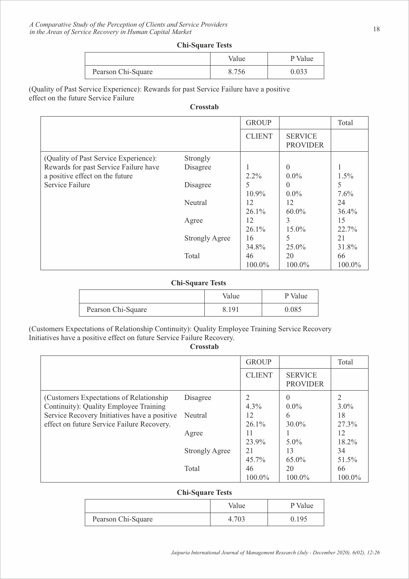|                    | Value | P Value |
|--------------------|-------|---------|
| Pearson Chi-Square | 8.756 | 0.033   |

(Quality of Past Service Experience): Rewards for past Service Failure have a positive effect on the future Service Failure

#### **Crosstab**

|                                       |                       | <b>GROUP</b>  |                                   | Total   |
|---------------------------------------|-----------------------|---------------|-----------------------------------|---------|
|                                       |                       | <b>CLIENT</b> | <b>SERVICE</b><br><b>PROVIDER</b> |         |
| (Quality of Past Service Experience): | Strongly              |               |                                   |         |
| Rewards for past Service Failure have | Disagree              |               | $\theta$                          |         |
| a positive effect on the future       |                       | $2.2\%$       | $0.0\%$                           | 1.5%    |
| Service Failure                       | Disagree              | 5             | $\theta$                          | 5       |
|                                       |                       | 10.9%         | $0.0\%$                           | $7.6\%$ |
|                                       | Neutral               | 12            | 12                                | 24      |
|                                       |                       | $26.1\%$      | $60.0\%$                          | 36.4%   |
|                                       | Agree                 | 12            | 3                                 | 15      |
|                                       |                       | $26.1\%$      | $15.0\%$                          | 22.7%   |
|                                       | <b>Strongly Agree</b> | 16            | 5                                 | 21      |
|                                       |                       | 34.8%         | $25.0\%$                          | 31.8%   |
|                                       | Total                 | 46            | 20                                | 66      |
|                                       |                       | 100.0%        | 100.0%                            | 100.0%  |

#### **Chi-Square Tests**

|                    | Value | P Value |
|--------------------|-------|---------|
| Pearson Chi-Square | 8.191 | 9.085   |

(Customers Expectations of Relationship Continuity): Quality Employee Training Service Recovery Initiatives have a positive effect on future Service Failure Recovery.

# **Crosstab**

|                                                                                    |                       | <b>GROUP</b>   |                                   | Total          |
|------------------------------------------------------------------------------------|-----------------------|----------------|-----------------------------------|----------------|
|                                                                                    |                       | <b>CLIENT</b>  | <b>SERVICE</b><br><b>PROVIDER</b> |                |
| (Customers Expectations of Relationship)<br>Continuity): Quality Employee Training | Disagree              | $4.3\%$        | $\theta$<br>$0.0\%$               | $3.0\%$        |
| Service Recovery Initiatives have a positive                                       | Neutral               | 12             | 6                                 | 18             |
| effect on future Service Failure Recovery.                                         | Agree                 | $26.1\%$<br>11 | $30.0\%$                          | $27.3\%$<br>12 |
|                                                                                    | <b>Strongly Agree</b> | 23.9%<br>21    | $5.0\%$<br>13                     | 18.2%<br>34    |
|                                                                                    |                       | $45.7\%$       | $65.0\%$                          | 51.5%          |
|                                                                                    | Total                 | 46<br>100.0%   | 20<br>100.0%                      | 66<br>100.0%   |

#### **Chi-Square Tests**

|                    | Value | P Value |
|--------------------|-------|---------|
| Pearson Chi-Square | 4.703 | 0.195   |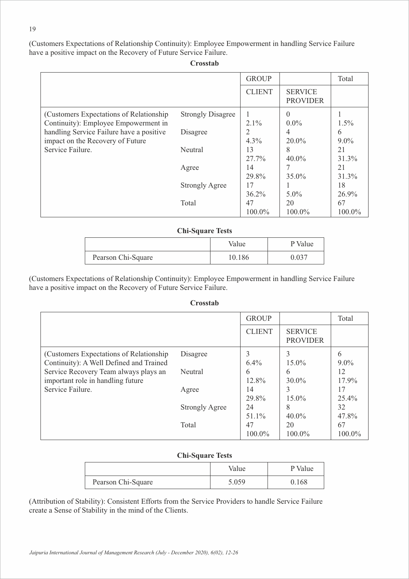(Customers Expectations of Relationship Continuity): Employee Empowerment in handling Service Failure have a positive impact on the Recovery of Future Service Failure.

**Crosstab**

|                                                                                  |                          | <b>GROUP</b>   |                                   | Total        |
|----------------------------------------------------------------------------------|--------------------------|----------------|-----------------------------------|--------------|
|                                                                                  |                          | <b>CLIENT</b>  | <b>SERVICE</b><br><b>PROVIDER</b> |              |
| (Customers Expectations of Relationship)<br>Continuity): Employee Empowerment in | <b>Strongly Disagree</b> | $2.1\%$        | $\Omega$<br>$0.0\%$               | $1.5\%$      |
| handling Service Failure have a positive<br>impact on the Recovery of Future     | Disagree                 | $4.3\%$        | 4<br>$20.0\%$                     | 6<br>$9.0\%$ |
| Service Failure.                                                                 | Neutral                  | 13<br>$27.7\%$ | 8<br>$40.0\%$                     | 21<br>31.3%  |
|                                                                                  | Agree                    | 14<br>29.8%    | $35.0\%$                          | 21<br>31.3%  |
|                                                                                  | <b>Strongly Agree</b>    | 17<br>$36.2\%$ | $5.0\%$                           | 18<br>26.9%  |
|                                                                                  | Total                    | 47<br>100.0%   | 20<br>100.0%                      | 67<br>100.0% |

## **Chi-Square Tests**

|                    | Value  | P Value |
|--------------------|--------|---------|
| Pearson Chi-Square | 10.186 | 0.037   |

(Customers Expectations of Relationship Continuity): Employee Empowerment in handling Service Failure have a positive impact on the Recovery of Future Service Failure.

#### **Crosstab**

|                                          |                       | <b>GROUP</b>  |                                   | Total    |
|------------------------------------------|-----------------------|---------------|-----------------------------------|----------|
|                                          |                       | <b>CLIENT</b> | <b>SERVICE</b><br><b>PROVIDER</b> |          |
| (Customers Expectations of Relationship) | Disagree              | 3             | 3                                 | 6        |
| Continuity): A Well Defined and Trained  |                       | 6.4%          | $15.0\%$                          | $9.0\%$  |
| Service Recovery Team always plays an    | Neutral               | 6             | 6                                 | 12       |
| important role in handling future        |                       | 12.8%         | $30.0\%$                          | 17.9%    |
| Service Failure.                         | Agree                 | 14            | 3                                 | 17       |
|                                          |                       | 29.8%         | $15.0\%$                          | $25.4\%$ |
|                                          | <b>Strongly Agree</b> | 24            | 8                                 | 32       |
|                                          |                       | $51.1\%$      | $40.0\%$                          | 47.8%    |
|                                          | Total                 | 47            | 20                                | 67       |
|                                          |                       | $100.0\%$     | $100.0\%$                         | 100.0%   |

#### **Chi-Square Tests**

|                    | Value | P Value |
|--------------------|-------|---------|
| Pearson Chi-Square | 5.059 | 0.168   |

(Attribution of Stability): Consistent Efforts from the Service Providers to handle Service Failure create a Sense of Stability in the mind of the Clients.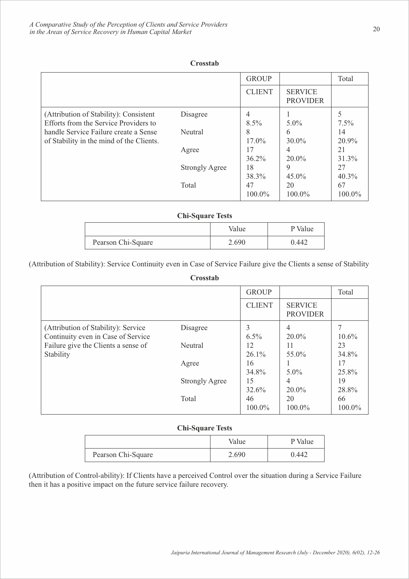|                                                                                   |                       | <b>GROUP</b>   |                                   | Total          |
|-----------------------------------------------------------------------------------|-----------------------|----------------|-----------------------------------|----------------|
|                                                                                   |                       | <b>CLIENT</b>  | <b>SERVICE</b><br><b>PROVIDER</b> |                |
| (Attribution of Stability): Consistent<br>Efforts from the Service Providers to   | Disagree              | 4<br>$8.5\%$   | $5.0\%$                           | $7.5\%$        |
| handle Service Failure create a Sense<br>of Stability in the mind of the Clients. | <b>Neutral</b>        | 8<br>$17.0\%$  | 6<br>$30.0\%$                     | 14<br>20.9%    |
|                                                                                   | Agree                 | 17<br>$36.2\%$ | 4<br>$20.0\%$                     | 21<br>31.3%    |
|                                                                                   | <b>Strongly Agree</b> | 18<br>38.3%    | 9<br>$45.0\%$                     | 27<br>$40.3\%$ |
|                                                                                   | Total                 | 47<br>100.0%   | 20<br>$100.0\%$                   | 67<br>100.0%   |

## **Crosstab**

## **Chi-Square Tests**

|                    | Value | P Value |
|--------------------|-------|---------|
| Pearson Chi-Square | 2.690 | 0.442   |

(Attribution of Stability): Service Continuity even in Case of Service Failure give the Clients a sense of Stability

#### **Crosstab**

|                                                                           |                       | <b>GROUP</b>   |                                   | Total        |
|---------------------------------------------------------------------------|-----------------------|----------------|-----------------------------------|--------------|
|                                                                           |                       | <b>CLIENT</b>  | <b>SERVICE</b><br><b>PROVIDER</b> |              |
| (Attribution of Stability): Service<br>Continuity even in Case of Service | Disagree              | 3<br>$6.5\%$   | 4<br>$20.0\%$                     | 10.6%        |
| Failure give the Clients a sense of<br>Stability                          | Neutral               | 12<br>$26.1\%$ | 11<br>55.0%                       | 23<br>34.8%  |
|                                                                           | Agree                 | 16<br>34.8%    | $5.0\%$                           | 17<br>25.8%  |
|                                                                           | <b>Strongly Agree</b> | 15<br>32.6%    | $\overline{4}$<br>$20.0\%$        | 19<br>28.8%  |
|                                                                           | Total                 | 46<br>100.0%   | 20<br>100.0%                      | 66<br>100.0% |

## **Chi-Square Tests**

|                    | Value | P Value |
|--------------------|-------|---------|
| Pearson Chi-Square | 2.690 | 0.442   |

(Attribution of Control-ability): If Clients have a perceived Control over the situation during a Service Failure then it has a positive impact on the future service failure recovery.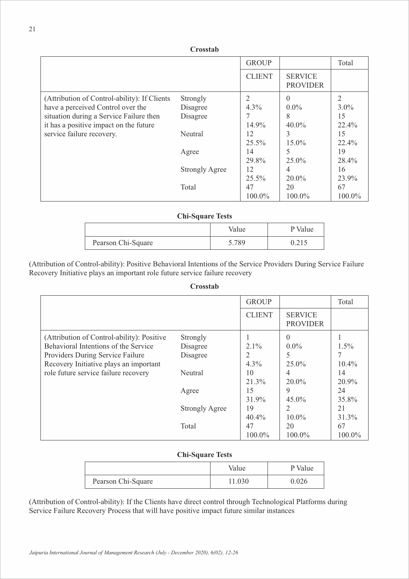|                                              | Crosstab              |               |                                   |                |  |
|----------------------------------------------|-----------------------|---------------|-----------------------------------|----------------|--|
|                                              |                       | <b>GROUP</b>  |                                   | Total          |  |
|                                              |                       | <b>CLIENT</b> | <b>SERVICE</b><br><b>PROVIDER</b> |                |  |
| (Attribution of Control-ability): If Clients | Strongly              |               | $\Omega$                          | $\overline{2}$ |  |
| have a perceived Control over the            | Disagree              | $4.3\%$       | $0.0\%$                           | $3.0\%$        |  |
| situation during a Service Failure then      | Disagree              |               | 8                                 | 15             |  |
| it has a positive impact on the future       |                       | 14.9%         | $40.0\%$                          | $22.4\%$       |  |
| service failure recovery.                    | Neutral               | 12            |                                   | 15             |  |
|                                              |                       | 25.5%         | 15.0%                             | 22.4%          |  |
|                                              | Agree                 | 14            |                                   | 19             |  |
|                                              |                       | 29.8%         | 25.0%                             | 28.4%          |  |
|                                              | <b>Strongly Agree</b> | 12            |                                   | 16             |  |
|                                              |                       | 25.5%         | 20.0%                             | 23.9%          |  |
|                                              | Total                 | 47            | 20                                | 67             |  |
|                                              |                       | $100.0\%$     | $100.0\%$                         | $100.0\%$      |  |

|                    | Value | P Value |
|--------------------|-------|---------|
| Pearson Chi-Square | 5.789 |         |

(Attribution of Control-ability): Positive Behavioral Intentions of the Service Providers During Service Failure Recovery Initiative plays an important role future service failure recovery

## **Crosstab**

|                                            |                       | <b>GROUP</b>  |                                   | Total    |
|--------------------------------------------|-----------------------|---------------|-----------------------------------|----------|
|                                            |                       | <b>CLIENT</b> | <b>SERVICE</b><br><b>PROVIDER</b> |          |
| (Attribution of Control-ability): Positive | Strongly              |               | $\Omega$                          |          |
| Behavioral Intentions of the Service       | Disagree              | $2.1\%$       | $0.0\%$                           | $1.5\%$  |
| Providers During Service Failure           | Disagree              | 2             | 5                                 |          |
| Recovery Initiative plays an important     |                       | $4.3\%$       | $25.0\%$                          | $10.4\%$ |
| role future service failure recovery       | Neutral               | 10            | 4                                 | 14       |
|                                            |                       | 21.3%         | $20.0\%$                          | 20.9%    |
|                                            | Agree                 | 15            | 9                                 | 24       |
|                                            |                       | 31.9%         | $45.0\%$                          | 35.8%    |
|                                            | <b>Strongly Agree</b> | 19            | $\mathcal{L}$                     | 21       |
|                                            |                       | $40.4\%$      | $10.0\%$                          | 31.3%    |
|                                            | Total                 | 47            | 20                                | 67       |
|                                            |                       | 100.0%        | 100.0%                            | 100.0%   |

# **Chi-Square Tests**

|                    | Value  | P Value |
|--------------------|--------|---------|
| Pearson Chi-Square | 11.030 | 0.026   |

(Attribution of Control-ability): If the Clients have direct control through Technological Platforms during Service Failure Recovery Process that will have positive impact future similar instances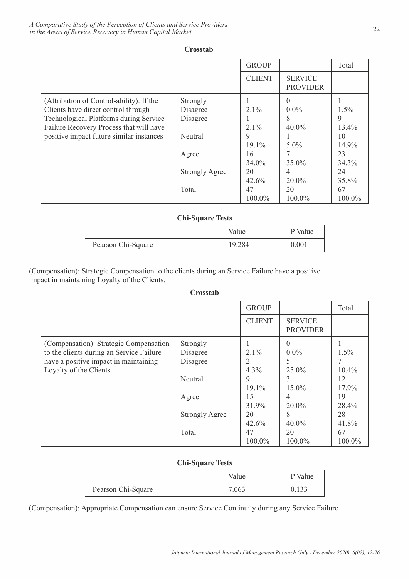|                                               |                       | <b>GROUP</b>  |                                   | Total    |
|-----------------------------------------------|-----------------------|---------------|-----------------------------------|----------|
|                                               |                       | <b>CLIENT</b> | <b>SERVICE</b><br><b>PROVIDER</b> |          |
| (Attribution of Control-ability): If the      | Strongly              |               | $\theta$                          |          |
| Clients have direct control through           | Disagree              | $2.1\%$       | $0.0\%$                           | $1.5\%$  |
| <b>Technological Platforms during Service</b> | Disagree              |               | 8                                 | 9        |
| Failure Recovery Process that will have       |                       | $2.1\%$       | $40.0\%$                          | $13.4\%$ |
| positive impact future similar instances      | Neutral               | 9             |                                   | 10       |
|                                               |                       | 19.1%         | $5.0\%$                           | 14.9%    |
|                                               | Agree                 | 16            |                                   | 23       |
|                                               |                       | 34.0%         | $35.0\%$                          | 34.3%    |
|                                               | <b>Strongly Agree</b> | 20            | 4                                 | 24       |
|                                               |                       | 42.6%         | $20.0\%$                          | 35.8%    |
|                                               | Total                 | 47            | 20                                | 67       |
|                                               |                       | 100.0%        | 100.0%                            | 100.0%   |

## **Crosstab Crosstab**

## **Chi-Square Tests**

|                    | Value  | P Value |
|--------------------|--------|---------|
| Pearson Chi-Square | 19.284 | 0.001   |

(Compensation): Strategic Compensation to the clients during an Service Failure have a positive impact in maintaining Loyalty of the Clients.

| Crosstab |
|----------|
|----------|

|                                          |                       | <b>GROUP</b>  |                                   | Total    |
|------------------------------------------|-----------------------|---------------|-----------------------------------|----------|
|                                          |                       | <b>CLIENT</b> | <b>SERVICE</b><br><b>PROVIDER</b> |          |
| (Compensation): Strategic Compensation   | Strongly              |               | $\theta$                          |          |
| to the clients during an Service Failure | Disagree              | $2.1\%$       | $0.0\%$                           | $1.5\%$  |
| have a positive impact in maintaining    | Disagree              | 2             | 5                                 |          |
| Loyalty of the Clients.                  |                       | $4.3\%$       | $25.0\%$                          | $10.4\%$ |
|                                          | Neutral               | 9             | 3                                 | 12       |
|                                          |                       | 19.1%         | 15.0%                             | 17.9%    |
|                                          | Agree                 | 15            | 4                                 | 19       |
|                                          |                       | 31.9%         | $20.0\%$                          | 28.4%    |
|                                          | <b>Strongly Agree</b> | 20            | 8                                 | 28       |
|                                          |                       | $42.6\%$      | $40.0\%$                          | 41.8%    |
|                                          | Total                 | 47            | 20                                | 67       |
|                                          |                       | 100.0%        | 100.0%                            | 100.0%   |

# **Chi-Square Tests**

|                    | Value | P Value |
|--------------------|-------|---------|
| Pearson Chi-Square | 7.063 | ).133   |

(Compensation): Appropriate Compensation can ensure Service Continuity during any Service Failure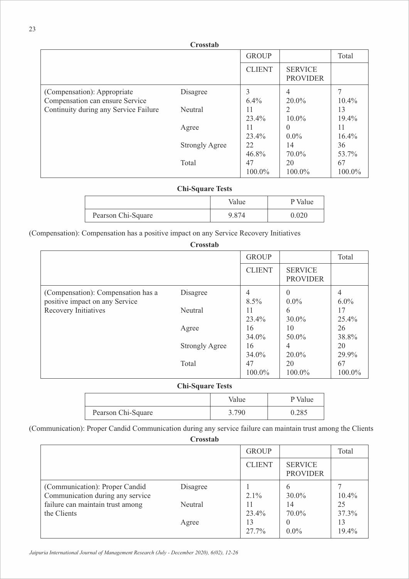|                                       | Crossiad              |               |                                   |           |
|---------------------------------------|-----------------------|---------------|-----------------------------------|-----------|
|                                       |                       | <b>GROUP</b>  |                                   | Total     |
|                                       |                       | <b>CLIENT</b> | <b>SERVICE</b><br><b>PROVIDER</b> |           |
| (Compensation): Appropriate           | Disagree              | 3             | $\overline{4}$                    |           |
| Compensation can ensure Service       |                       | 6.4%          | 20.0%                             | $10.4\%$  |
| Continuity during any Service Failure | Neutral               | 11            | 2                                 | 13        |
|                                       |                       | 23.4%         | $10.0\%$                          | 19.4%     |
|                                       | Agree                 | 11            | $\Omega$                          | 11        |
|                                       |                       | 23.4%         | $0.0\%$                           | $16.4\%$  |
|                                       | <b>Strongly Agree</b> | 22            | 14                                | 36        |
|                                       |                       | 46.8%         | $70.0\%$                          | 53.7%     |
|                                       | Total                 | 47            | 20                                | 67        |
|                                       |                       | 100.0%        | 100.0%                            | $100.0\%$ |

**Crosstab**

# **Chi-Square Tests**

|                    | Value | P Value   |
|--------------------|-------|-----------|
| Pearson Chi-Square | 9.874 | $0.020\,$ |

(Compensation): Compensation has a positive impact on any Service Recovery Initiatives

|                                                                      | Crosstab              |                |                                   |                |
|----------------------------------------------------------------------|-----------------------|----------------|-----------------------------------|----------------|
|                                                                      |                       | <b>GROUP</b>   |                                   | Total          |
|                                                                      |                       | <b>CLIENT</b>  | <b>SERVICE</b><br><b>PROVIDER</b> |                |
| (Compensation): Compensation has a<br>positive impact on any Service | Disagree              | 4<br>$8.5\%$   | $\theta$<br>$0.0\%$               | 4<br>$6.0\%$   |
| Recovery Initiatives                                                 | Neutral               | 11<br>23.4%    | 6<br>$30.0\%$                     | 17<br>$25.4\%$ |
|                                                                      | Agree                 | 16<br>$34.0\%$ | 10<br>$50.0\%$                    | 26<br>38.8%    |
|                                                                      | <b>Strongly Agree</b> | 16<br>34.0%    | 4<br>$20.0\%$                     | 20<br>29.9%    |
|                                                                      | Total                 | 47<br>100.0%   | 20<br>100.0%                      | 67<br>100.0%   |

# **Chi-Square Tests**

|                    | Value | P Value |
|--------------------|-------|---------|
| Pearson Chi-Square | 3.790 | 0.285   |

(Communication): Proper Candid Communication during any service failure can maintain trust among the Clients

**Crosstab**

|                                                                                                        |                     | <b>GROUP</b>         |                                   | Total                |
|--------------------------------------------------------------------------------------------------------|---------------------|----------------------|-----------------------------------|----------------------|
|                                                                                                        |                     | <b>CLIENT</b>        | <b>SERVICE</b><br><b>PROVIDER</b> |                      |
| (Communication): Proper Candid<br>Communication during any service<br>failure can maintain trust among | Disagree<br>Neutral | $2.1\%$<br>11        | 6<br>$30.0\%$<br>14               | $10.4\%$<br>25       |
| the Clients                                                                                            | Agree               | 23.4%<br>13<br>27.7% | 70.0%<br>$\theta$<br>$0.0\%$      | 37.3%<br>13<br>19.4% |

*Jaipuria International Journal of Management Research (July - December 2020), 6(02), 12-26 Jaipuria International Journal of Management Research (July - December 2020), 6(02), 12-26*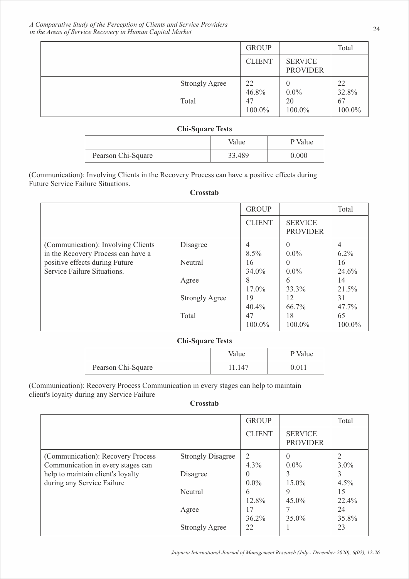|                       | <b>GROUP</b>          |                                   | Total                 |
|-----------------------|-----------------------|-----------------------------------|-----------------------|
|                       | <b>CLIENT</b>         | <b>SERVICE</b><br><b>PROVIDER</b> |                       |
| <b>Strongly Agree</b> | 22                    | $\boldsymbol{0}$                  | 22                    |
| Total                 | 46.8%<br>47<br>100.0% | $0.0\%$<br>20<br>100.0%           | 32.8%<br>67<br>100.0% |

|                    | Value  | P Value |
|--------------------|--------|---------|
| Pearson Chi-Square | 33.489 | 0.000   |

(Communication): Involving Clients in the Recovery Process can have a positive effects during Future Service Failure Situations.

#### **Crosstab**

|                                                                          |                       | <b>GROUP</b>   |                                   | Total        |
|--------------------------------------------------------------------------|-----------------------|----------------|-----------------------------------|--------------|
|                                                                          |                       | <b>CLIENT</b>  | <b>SERVICE</b><br><b>PROVIDER</b> |              |
| (Communication): Involving Clients<br>in the Recovery Process can have a | Disagree              | 4<br>8.5%      | $\theta$<br>$0.0\%$               | $6.2\%$      |
| positive effects during Future<br>Service Failure Situations.            | Neutral               | 16<br>$34.0\%$ | $\theta$<br>$0.0\%$               | 16<br>24.6%  |
|                                                                          | Agree                 | 8<br>17.0%     | 6<br>33.3%                        | 14<br>21.5%  |
|                                                                          | <b>Strongly Agree</b> | 19<br>$40.4\%$ | 12<br>66.7%                       | 31<br>47.7%  |
|                                                                          | Total                 | 47<br>100.0%   | 18<br>100.0%                      | 65<br>100.0% |

# **Chi-Square Tests**

|                    | Value | P Value |
|--------------------|-------|---------|
| Pearson Chi-Square | .141  | 0.011   |

(Communication): Recovery Process Communication in every stages can help to maintain client's loyalty during any Service Failure

#### **Crosstab**

|                                                                        |                          | <b>GROUP</b>        |                                   | Total                     |
|------------------------------------------------------------------------|--------------------------|---------------------|-----------------------------------|---------------------------|
|                                                                        |                          | <b>CLIENT</b>       | <b>SERVICE</b><br><b>PROVIDER</b> |                           |
| (Communication): Recovery Process<br>Communication in every stages can | <b>Strongly Disagree</b> | 2<br>$4.3\%$        | $\Omega$<br>$0.0\%$               | $\mathfrak{D}$<br>$3.0\%$ |
| help to maintain client's loyalty<br>during any Service Failure        | Disagree                 | $\theta$<br>$0.0\%$ | 3<br>$15.0\%$                     | 3<br>$4.5\%$              |
|                                                                        | Neutral                  | 6<br>12.8%          | 9<br>$45.0\%$                     | 15<br>$22.4\%$            |
|                                                                        | Agree                    | 17<br>$36.2\%$      | $35.0\%$                          | 24<br>35.8%               |
|                                                                        | <b>Strongly Agree</b>    | 22                  |                                   | 23                        |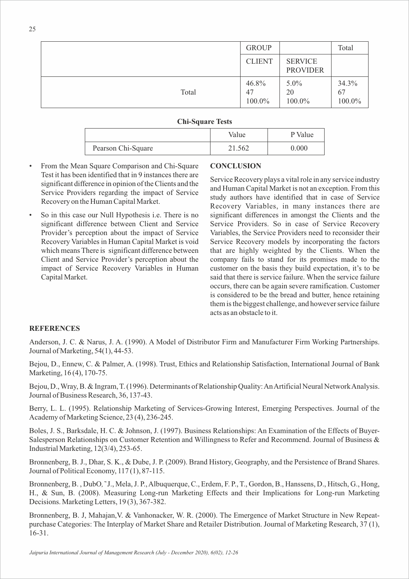|       | <b>GROUP</b>          |                                   | Total                 |
|-------|-----------------------|-----------------------------------|-----------------------|
|       | <b>CLIENT</b>         | <b>SERVICE</b><br><b>PROVIDER</b> |                       |
| Total | 46.8%<br>47<br>100.0% | $5.0\%$<br>20<br>100.0%           | 34.3%<br>67<br>100.0% |

|                    | Value  | P Value |
|--------------------|--------|---------|
| Pearson Chi-Square | 21.562 | 0.000   |

- From the Mean Square Comparison and Chi-Square Test it has been identified that in 9 instances there are significant difference in opinion of the Clients and the Service Providers regarding the impact of Service Recovery on the Human Capital Market.
- So in this case our Null Hypothesis *i.e.* There is no significant difference between Client and Service Provider's perception about the impact of Service Recovery Variables in Human Capital Market is void which means There is significant difference between Client and Service Provider's perception about the impact of Service Recovery Variables in Human Capital Market.

# **CONCLUSION**

Service Recovery plays a vital role in any service industry and Human Capital Market is not an exception. From this study authors have identified that in case of Service Recovery Variables, in many instances there are significant differences in amongst the Clients and the Service Providers. So in case of Service Recovery Variables, the Service Providers need to reconsider their Service Recovery models by incorporating the factors that are highly weighted by the Clients. When the company fails to stand for its promises made to the customer on the basis they build expectation, it's to be said that there is service failure. When the service failure occurs, there can be again severe ramification. Customer is considered to be the bread and butter, hence retaining them is the biggest challenge, and however service failure acts as an obstacle to it.

## **REFERENCES**

Anderson, J. C. & Narus, J. A. (1990). A Model of Distributor Firm and Manufacturer Firm Working Partnerships. Journal of Marketing, 54(1), 44-53.

Bejou, D., Ennew, C. & Palmer, A. (1998). Trust, Ethics and Relationship Satisfaction, International Journal of Bank Marketing, 16(4), 170-75.

Bejou, D., Wray, B. & Ingram, T. (1996). Determinants of Relationship Quality: An Artificial Neural Network Analysis. Journal of Business Research, 36, 137-43.

Berry, L. L. (1995). Relationship Marketing of Services-Growing Interest, Emerging Perspectives. Journal of the Academy of Marketing Science, 23 (4), 236-245.

Boles, J. S., Barksdale, H. C. & Johnson, J. (1997). Business Relationships: An Examination of the Effects of Buyer-Salesperson Relationships on Customer Retention and Willingness to Refer and Recommend. Journal of Business & Industrial Marketing, 12(3/4), 253-65.

Bronnenberg, B. J., Dhar, S. K., & Dube, J. P. (2009). Brand History, Geography, and the Persistence of Brand Shares. Journal of Political Economy, 117 (1), 87-115.

Bronnenberg, B. , DubO*,˜* J., Mela, J. P., Albuquerque, C., Erdem, F. P., T., Gordon, B., Hanssens, D., Hitsch, G., Hong, H., & Sun, B. (2008). Measuring Long-run Marketing Effects and their Implications for Long-run Marketing Decisions. Marketing Letters, 19 (3), 367-382.

Bronnenberg, B. J, Mahajan,V. & Vanhonacker, W. R. (2000). The Emergence of Market Structure in New Repeatpurchase Categories: The Interplay of Market Share and Retailer Distribution. Journal of Marketing Research, 37 (1), 16-31.